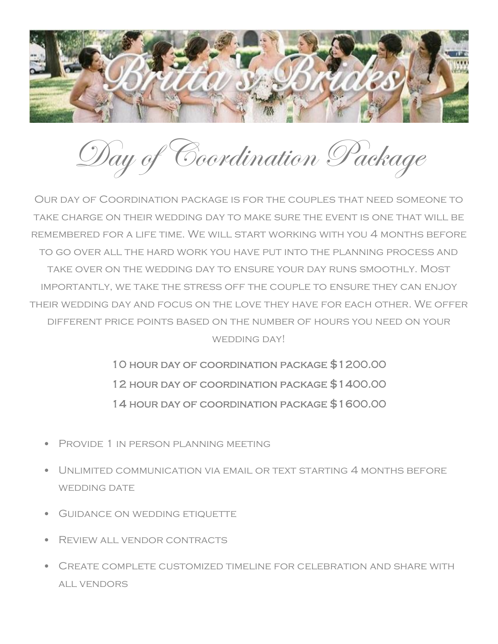

Day of Coordination Package

Our day of Coordination package is for the couples that need someone to take charge on their wedding day to make sure the event is one that will be remembered for a life time. We will start working with you 4 months before to go over all the hard work you have put into the planning process and take over on the wedding day to ensure your day runs smoothly. Most importantly, we take the stress off the couple to ensure they can enjoy their wedding day and focus on the love they have for each other. We offer different price points based on the number of hours you need on your WEDDING DAY!

> 10 hour day of coordination package \$1200.00 12 hour day of coordination package \$1400.00 14 hour day of coordination package \$1600.00

- Provide 1 in person planning meeting
- Unlimited communication via email or text starting 4 months before WEDDING DATE
- Guidance on wedding etiquette
- Review all vendor contracts
- Create complete customized timeline for celebration and share with all vendors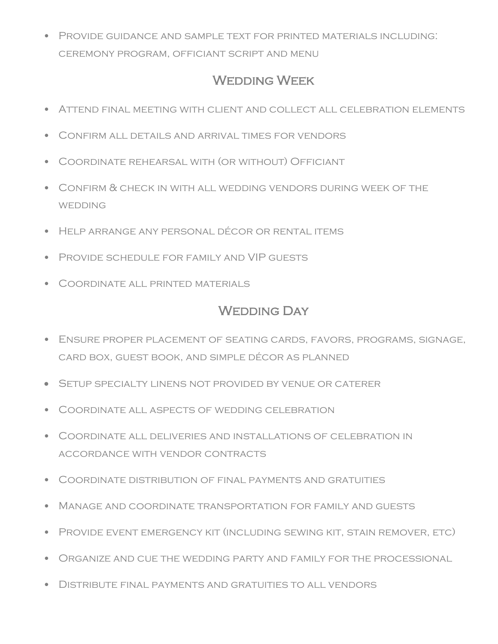• Provide guidance and sample text for printed materials including: ceremony program, officiant script and menu

## WEDDING WEEK

- Attend final meeting with client and collect all celebration elements
- Confirm all details and arrival times for vendors
- Coordinate rehearsal with (or without) Officiant
- Confirm & check in with all wedding vendors during week of the **WEDDING**
- Help arrange any personal décor or rental items
- Provide schedule for family and VIP guests
- Coordinate all printed materials

## WEDDING DAY

- Ensure proper placement of seating cards, favors, programs, signage, card box, guest book, and simple décor as planned
- Setup specialty linens not provided by venue or caterer
- Coordinate all aspects of wedding celebration
- Coordinate all deliveries and installations of celebration in accordance with vendor contracts
- Coordinate distribution of final payments and gratuities
- Manage and coordinate transportation for family and guests
- Provide event emergency kit (including sewing kit, stain remover, etc)
- Organize and cue the wedding party and family for the processional
- Distribute final payments and gratuities to all vendors